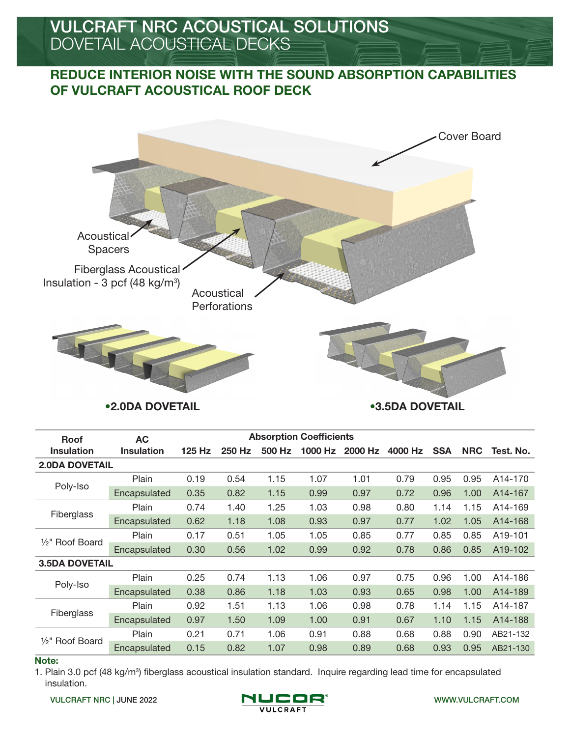# REDUCE INTERIOR NOISE WITH THE SOUND ABSORPTION CAPABILITIES OF VULCRAFT ACOUSTICAL ROOF DECK



•2.0DA DOVETAIL •3.5DA DOVETAIL

| <b>Roof</b>                            | <b>AC</b>    |        |        |        | <b>Absorption Coefficients</b> |         |         |            |                                                                      |                      |
|----------------------------------------|--------------|--------|--------|--------|--------------------------------|---------|---------|------------|----------------------------------------------------------------------|----------------------|
| <b>Insulation</b><br><b>Insulation</b> |              | 125 Hz | 250 Hz | 500 Hz | 1000 Hz                        | 2000 Hz | 4000 Hz | <b>SSA</b> | <b>NRC</b>                                                           | Test. No.            |
| <b>2.0DA DOVETAIL</b>                  |              |        |        |        |                                |         |         |            |                                                                      |                      |
| Poly-Iso                               | Plain        | 0.19   | 0.54   | 1.15   | 1.07                           | 1.01    | 0.79    | 0.95       | 0.95                                                                 | A <sub>14</sub> -170 |
|                                        | Encapsulated | 0.35   | 0.82   | 1.15   | 0.99                           | 0.97    | 0.72    | 0.96       | 1.00                                                                 | A <sub>14</sub> -167 |
|                                        | Plain        | 0.74   | 1.40   | 1.25   | 1.03                           | 0.98    | 0.80    | 1.14       | 1.15                                                                 | A14-169              |
| Fiberglass                             | Encapsulated | 0.62   | 1.18   | 1.08   | 0.93                           | 0.97    | 0.77    | 1.02       | 1.05<br>0.85<br>0.85<br>1.00<br>1.00<br>1.15<br>1.15<br>0.90<br>0.95 | A14-168              |
|                                        | Plain        | 0.17   | 0.51   | 1.05   | 1.05                           | 0.85    | 0.77    | 0.85       |                                                                      | A19-101              |
| 1/ <sub>2</sub> " Roof Board           | Encapsulated | 0.30   | 0.56   | 1.02   | 0.99                           | 0.92    | 0.78    | 0.86       |                                                                      | A19-102              |
| <b>3.5DA DOVETAIL</b>                  |              |        |        |        |                                |         |         |            |                                                                      |                      |
|                                        | Plain        | 0.25   | 0.74   | 1.13   | 1.06                           | 0.97    | 0.75    | 0.96       |                                                                      | A14-186              |
| Poly-Iso                               | Encapsulated | 0.38   | 0.86   | 1.18   | 1.03                           | 0.93    | 0.65    | 0.98       |                                                                      | A14-189              |
|                                        | Plain        | 0.92   | 1.51   | 1.13   | 1.06                           | 0.98    | 0.78    | 1.14       |                                                                      | A14-187              |
| Fiberglass                             | Encapsulated | 0.97   | 1.50   | 1.09   | 1.00                           | 0.91    | 0.67    | 1.10       |                                                                      | A14-188              |
|                                        | Plain        | 0.21   | 0.71   | 1.06   | 0.91                           | 0.88    | 0.68    | 0.88       |                                                                      | AB21-132             |
| 1/ <sub>2</sub> " Roof Board           | Encapsulated | 0.15   | 0.82   | 1.07   | 0.98                           | 0.89    | 0.68    | 0.93       |                                                                      | AB21-130             |

#### Note:

1. Plain 3.0 pcf (48 kg/m<sup>3</sup>) fiberglass acoustical insulation standard. Inquire regarding lead time for encapsulated insulation.

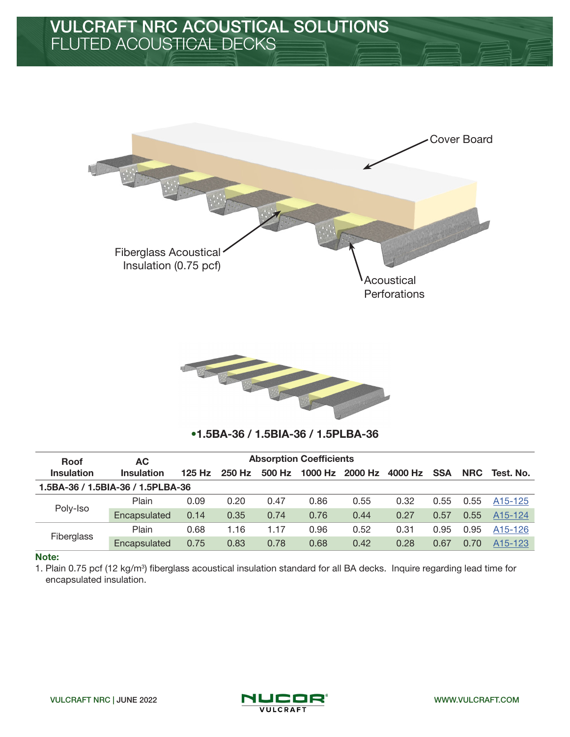



# •1.5BA-36 / 1.5BIA-36 / 1.5PLBA-36

| <b>Roof</b>                       | AC.               | <b>Absorption Coefficients</b> |        |        |         |         |         |            |            |                      |
|-----------------------------------|-------------------|--------------------------------|--------|--------|---------|---------|---------|------------|------------|----------------------|
| <b>Insulation</b>                 | <b>Insulation</b> | $125$ Hz                       | 250 Hz | 500 Hz | 1000 Hz | 2000 Hz | 4000 Hz | <b>SSA</b> | <b>NRC</b> | Test. No.            |
| 1.5BA-36 / 1.5BIA-36 / 1.5PLBA-36 |                   |                                |        |        |         |         |         |            |            |                      |
|                                   | Plain             | 0.09                           | 0.20   | 0.47   | 0.86    | 0.55    | 0.32    | 0.55       | 0.55       | A <sub>15</sub> -125 |
| Poly-Iso                          | Encapsulated      | 0.14                           | 0.35   | 0.74   | 0.76    | 0.44    | 0.27    | 0.57       | 0.55       | A <sub>15</sub> -124 |
|                                   | Plain             | 0.68                           | 1.16   | 1.17   | 0.96    | 0.52    | 0.31    | 0.95       | 0.95       | A <sub>15</sub> -126 |
| Fiberglass                        | Encapsulated      | 0.75                           | 0.83   | 0.78   | 0.68    | 0.42    | 0.28    | 0.67       | 0.70       | A <sub>15</sub> -123 |

## Note:

1. Plain 0.75 pcf (12 kg/m<sup>3</sup>) fiberglass acoustical insulation standard for all BA decks. Inquire regarding lead time for encapsulated insulation.



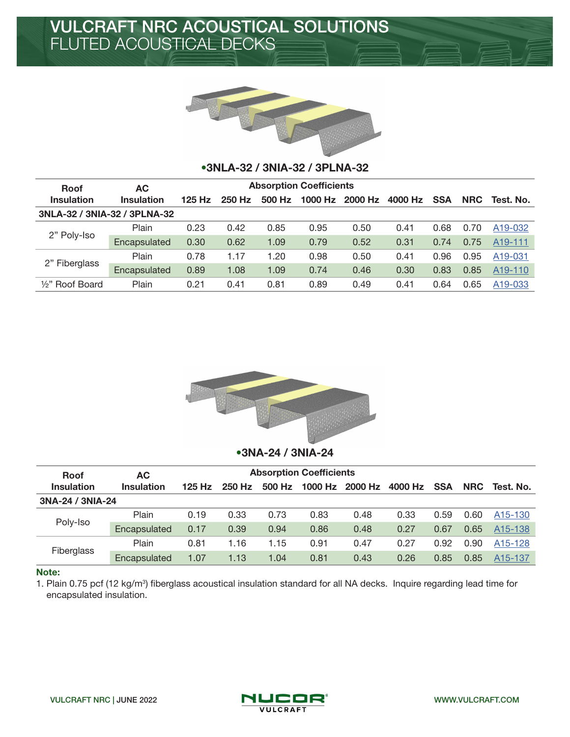

## •3NLA-32 / 3NIA-32 / 3PLNA-32

| <b>Roof</b>                  | <b>AC</b>         | <b>Absorption Coefficients</b> |        |        |         |         |         |            |                              |                      |
|------------------------------|-------------------|--------------------------------|--------|--------|---------|---------|---------|------------|------------------------------|----------------------|
| <b>Insulation</b>            | <b>Insulation</b> | $125$ Hz                       | 250 Hz | 500 Hz | 1000 Hz | 2000 Hz | 4000 Hz | <b>SSA</b> | <b>NRC</b>                   | Test. No.            |
| 3NLA-32 / 3NIA-32 / 3PLNA-32 |                   |                                |        |        |         |         |         |            |                              |                      |
|                              | Plain             | 0.23                           | 0.42   | 0.85   | 0.95    | 0.50    | 0.41    | 0.68       | 0.70                         | A19-032              |
| 2" Poly-Iso                  | Encapsulated      | 0.30                           | 0.62   | 1.09   | 0.79    | 0.52    | 0.31    | 0.74       | 0.75<br>0.95<br>0.85<br>0.65 | A <sub>19</sub> -111 |
| 2" Fiberglass                | Plain             | 0.78                           | 1.17   | 1.20   | 0.98    | 0.50    | 0.41    | 0.96       |                              | A <sub>19</sub> -031 |
|                              | Encapsulated      | 0.89                           | 1.08   | 1.09   | 0.74    | 0.46    | 0.30    | 0.83       |                              | A <sub>19</sub> -110 |
| 1/ <sub>2</sub> " Roof Board | Plain             | 0.21                           | 0.41   | 0.81   | 0.89    | 0.49    | 0.41    | 0.64       |                              | A <sub>19</sub> -033 |



## •3NA-24 / 3NIA-24

| <b>Roof</b>       | AC.               | <b>Absorption Coefficients</b> |        |        |         |         |         |              |                      |                      |
|-------------------|-------------------|--------------------------------|--------|--------|---------|---------|---------|--------------|----------------------|----------------------|
| <b>Insulation</b> | <b>Insulation</b> | $125$ Hz                       | 250 Hz | 500 Hz | 1000 Hz | 2000 Hz | 4000 Hz | <b>SSA</b>   | <b>NRC</b>           | Test. No.            |
| 3NA-24 / 3NIA-24  |                   |                                |        |        |         |         |         |              |                      |                      |
|                   | Plain             | 0.19                           | 0.33   | 0.73   | 0.83    | 0.48    | 0.33    | 0.59         | 0.60                 | A <sub>15</sub> -130 |
| Poly-Iso          | Encapsulated      | 0.17                           | 0.39   | 0.94   | 0.86    | 0.48    | 0.27    | 0.67         | 0.65                 | A <sub>15</sub> -138 |
|                   | Plain             | 0.81                           | 1.16   | 1.15   | 0.91    | 0.47    | 0.27    | 0.92         | 0.90                 | A <sub>15</sub> -128 |
| Fiberglass        | Encapsulated      | 1.07                           | 1.13   | 1.04   | 0.81    | 0.43    | 0.26    | 0.85<br>0.85 | A <sub>15</sub> -137 |                      |

## Note:

1. Plain 0.75 pcf (12 kg/m<sup>3</sup>) fiberglass acoustical insulation standard for all NA decks. Inquire regarding lead time for encapsulated insulation.